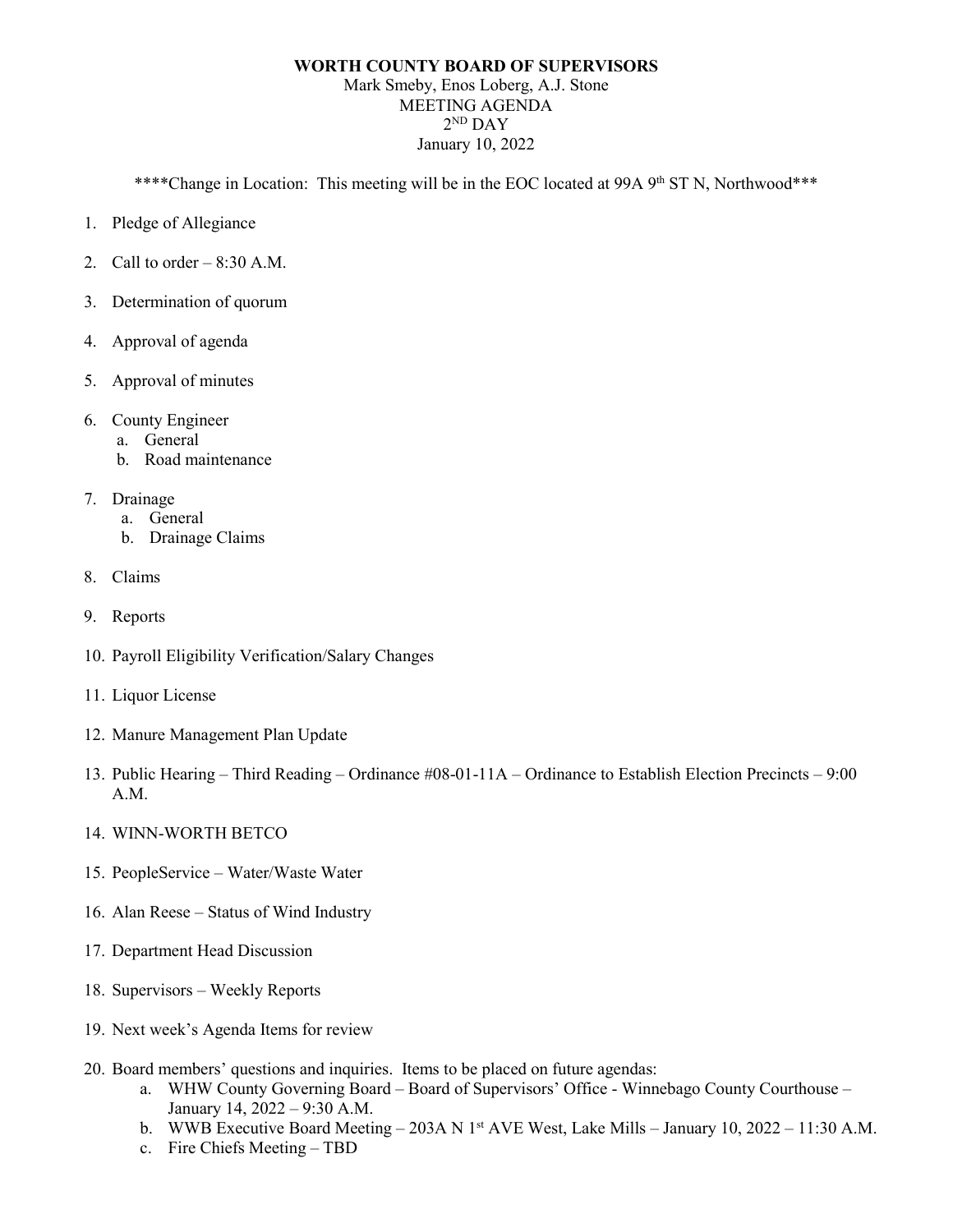## **WORTH COUNTY BOARD OF SUPERVISORS** Mark Smeby, Enos Loberg, A.J. Stone MEETING AGENDA  $2^{ND}$  DAY January 10, 2022

\*\*\*\*Change in Location: This meeting will be in the EOC located at 99A 9<sup>th</sup> ST N, Northwood\*\*\*

- 1. Pledge of Allegiance
- 2. Call to order  $-8:30$  A.M.
- 3. Determination of quorum
- 4. Approval of agenda
- 5. Approval of minutes
- 6. County Engineer
	- a. General
	- b. Road maintenance
- 7. Drainage
	- a. General
	- b. Drainage Claims
- 8. Claims
- 9. Reports
- 10. Payroll Eligibility Verification/Salary Changes
- 11. Liquor License
- 12. Manure Management Plan Update
- 13. Public Hearing Third Reading Ordinance #08-01-11A Ordinance to Establish Election Precincts 9:00 A.M.
- 14. WINN-WORTH BETCO
- 15. PeopleService Water/Waste Water
- 16. Alan Reese Status of Wind Industry
- 17. Department Head Discussion
- 18. Supervisors Weekly Reports
- 19. Next week's Agenda Items for review
- 20. Board members' questions and inquiries. Items to be placed on future agendas:
	- a. WHW County Governing Board Board of Supervisors' Office Winnebago County Courthouse January 14, 2022 – 9:30 A.M.
	- b. WWB Executive Board Meeting 203A N 1<sup>st</sup> AVE West, Lake Mills January 10, 2022 11:30 A.M.
	- c. Fire Chiefs Meeting TBD